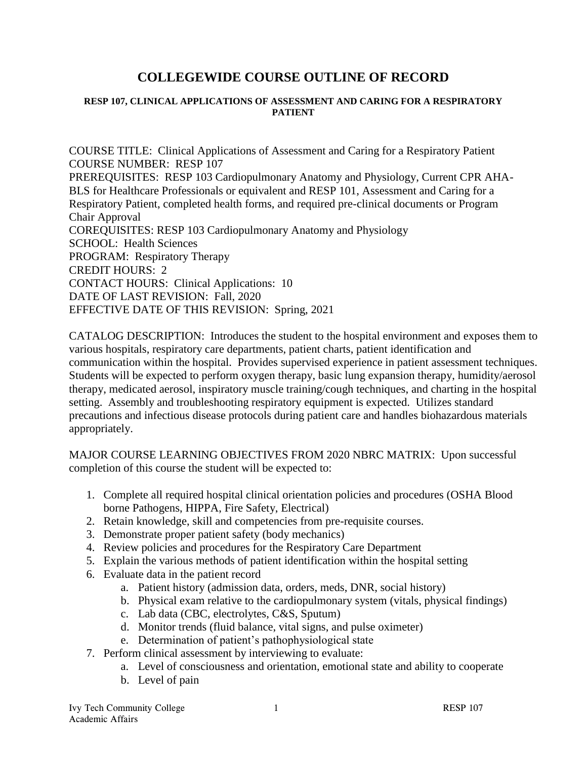# **COLLEGEWIDE COURSE OUTLINE OF RECORD**

#### **RESP 107, CLINICAL APPLICATIONS OF ASSESSMENT AND CARING FOR A RESPIRATORY PATIENT**

COURSE TITLE: Clinical Applications of Assessment and Caring for a Respiratory Patient COURSE NUMBER: RESP 107 PREREQUISITES: RESP 103 Cardiopulmonary Anatomy and Physiology, Current CPR AHA-BLS for Healthcare Professionals or equivalent and RESP 101, Assessment and Caring for a Respiratory Patient, completed health forms, and required pre-clinical documents or Program Chair Approval COREQUISITES: RESP 103 Cardiopulmonary Anatomy and Physiology SCHOOL: Health Sciences PROGRAM: Respiratory Therapy CREDIT HOURS: 2 CONTACT HOURS: Clinical Applications: 10 DATE OF LAST REVISION: Fall, 2020 EFFECTIVE DATE OF THIS REVISION: Spring, 2021

CATALOG DESCRIPTION: Introduces the student to the hospital environment and exposes them to various hospitals, respiratory care departments, patient charts, patient identification and communication within the hospital. Provides supervised experience in patient assessment techniques. Students will be expected to perform oxygen therapy, basic lung expansion therapy, humidity/aerosol therapy, medicated aerosol, inspiratory muscle training/cough techniques, and charting in the hospital setting. Assembly and troubleshooting respiratory equipment is expected. Utilizes standard precautions and infectious disease protocols during patient care and handles biohazardous materials appropriately.

MAJOR COURSE LEARNING OBJECTIVES FROM 2020 NBRC MATRIX: Upon successful completion of this course the student will be expected to:

- 1. Complete all required hospital clinical orientation policies and procedures (OSHA Blood borne Pathogens, HIPPA, Fire Safety, Electrical)
- 2. Retain knowledge, skill and competencies from pre-requisite courses.
- 3. Demonstrate proper patient safety (body mechanics)
- 4. Review policies and procedures for the Respiratory Care Department
- 5. Explain the various methods of patient identification within the hospital setting
- 6. Evaluate data in the patient record
	- a. Patient history (admission data, orders, meds, DNR, social history)
	- b. Physical exam relative to the cardiopulmonary system (vitals, physical findings)
	- c. Lab data (CBC, electrolytes, C&S, Sputum)
	- d. Monitor trends (fluid balance, vital signs, and pulse oximeter)
	- e. Determination of patient's pathophysiological state
- 7. Perform clinical assessment by interviewing to evaluate:
	- a. Level of consciousness and orientation, emotional state and ability to cooperate
	- b. Level of pain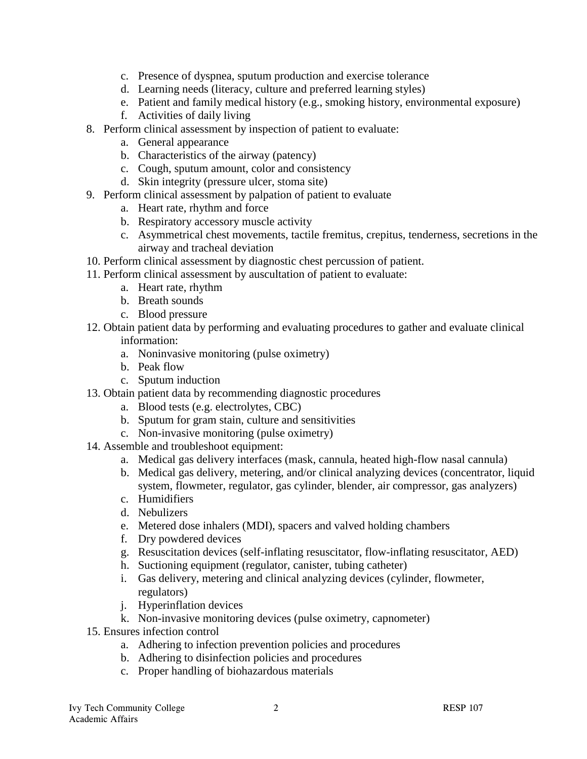- c. Presence of dyspnea, sputum production and exercise tolerance
- d. Learning needs (literacy, culture and preferred learning styles)
- e. Patient and family medical history (e.g., smoking history, environmental exposure)
- f. Activities of daily living
- 8. Perform clinical assessment by inspection of patient to evaluate:
	- a. General appearance
	- b. Characteristics of the airway (patency)
	- c. Cough, sputum amount, color and consistency
	- d. Skin integrity (pressure ulcer, stoma site)
- 9. Perform clinical assessment by palpation of patient to evaluate
	- a. Heart rate, rhythm and force
	- b. Respiratory accessory muscle activity
	- c. Asymmetrical chest movements, tactile fremitus, crepitus, tenderness, secretions in the airway and tracheal deviation
- 10. Perform clinical assessment by diagnostic chest percussion of patient.
- 11. Perform clinical assessment by auscultation of patient to evaluate:
	- a. Heart rate, rhythm
	- b. Breath sounds
	- c. Blood pressure
- 12. Obtain patient data by performing and evaluating procedures to gather and evaluate clinical information:
	- a. Noninvasive monitoring (pulse oximetry)
	- b. Peak flow
	- c. Sputum induction
- 13. Obtain patient data by recommending diagnostic procedures
	- a. Blood tests (e.g. electrolytes, CBC)
	- b. Sputum for gram stain, culture and sensitivities
	- c. Non-invasive monitoring (pulse oximetry)
- 14. Assemble and troubleshoot equipment:
	- a. Medical gas delivery interfaces (mask, cannula, heated high-flow nasal cannula)
	- b. Medical gas delivery, metering, and/or clinical analyzing devices (concentrator, liquid system, flowmeter, regulator, gas cylinder, blender, air compressor, gas analyzers)
	- c. Humidifiers
	- d. Nebulizers
	- e. Metered dose inhalers (MDI), spacers and valved holding chambers
	- f. Dry powdered devices
	- g. Resuscitation devices (self-inflating resuscitator, flow-inflating resuscitator, AED)
	- h. Suctioning equipment (regulator, canister, tubing catheter)
	- i. Gas delivery, metering and clinical analyzing devices (cylinder, flowmeter, regulators)
	- j. Hyperinflation devices
	- k. Non-invasive monitoring devices (pulse oximetry, capnometer)
- 15. Ensures infection control
	- a. Adhering to infection prevention policies and procedures
	- b. Adhering to disinfection policies and procedures
	- c. Proper handling of biohazardous materials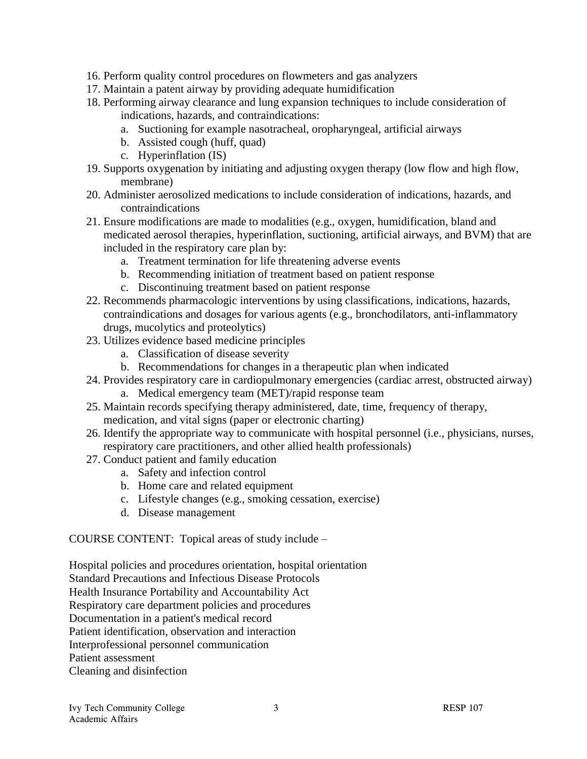- 16. Perform quality control procedures on flowmeters and gas analyzers
- 17. Maintain a patent airway by providing adequate humidification
- 18. Performing airway clearance and lung expansion techniques to include consideration of indications, hazards, and contraindications:
	- a. Suctioning for example nasotracheal, oropharyngeal, artificial airways
	- b. Assisted cough (huff, quad)
	- c. Hyperinflation (IS)
- 19. Supports oxygenation by initiating and adjusting oxygen therapy (low flow and high flow, membrane)
- 20. Administer aerosolized medications to include consideration of indications, hazards, and contraindications
- 21. Ensure modifications are made to modalities (e.g., oxygen, humidification, bland and medicated aerosol therapies, hyperinflation, suctioning, artificial airways, and BVM) that are included in the respiratory care plan by:
	- a. Treatment termination for life threatening adverse events
	- b. Recommending initiation of treatment based on patient response
	- c. Discontinuing treatment based on patient response
- 22. Recommends pharmacologic interventions by using classifications, indications, hazards, contraindications and dosages for various agents (e.g., bronchodilators, anti-inflammatory drugs, mucolytics and proteolytics)
- 23. Utilizes evidence based medicine principles
	- a. Classification of disease severity
	- b. Recommendations for changes in a therapeutic plan when indicated
- 24. Provides respiratory care in cardiopulmonary emergencies (cardiac arrest, obstructed airway) a. Medical emergency team (MET)/rapid response team
- 25. Maintain records specifying therapy administered, date, time, frequency of therapy, medication, and vital signs (paper or electronic charting)
- 26. Identify the appropriate way to communicate with hospital personnel (i.e., physicians, nurses, respiratory care practitioners, and other allied health professionals)
- 27. Conduct patient and family education
	- a. Safety and infection control
	- b. Home care and related equipment
	- c. Lifestyle changes (e.g., smoking cessation, exercise)
	- d. Disease management

COURSE CONTENT: Topical areas of study include –

Hospital policies and procedures orientation, hospital orientation Standard Precautions and Infectious Disease Protocols Health Insurance Portability and Accountability Act Respiratory care department policies and procedures Documentation in a patient's medical record Patient identification, observation and interaction Interprofessional personnel communication Patient assessment Cleaning and disinfection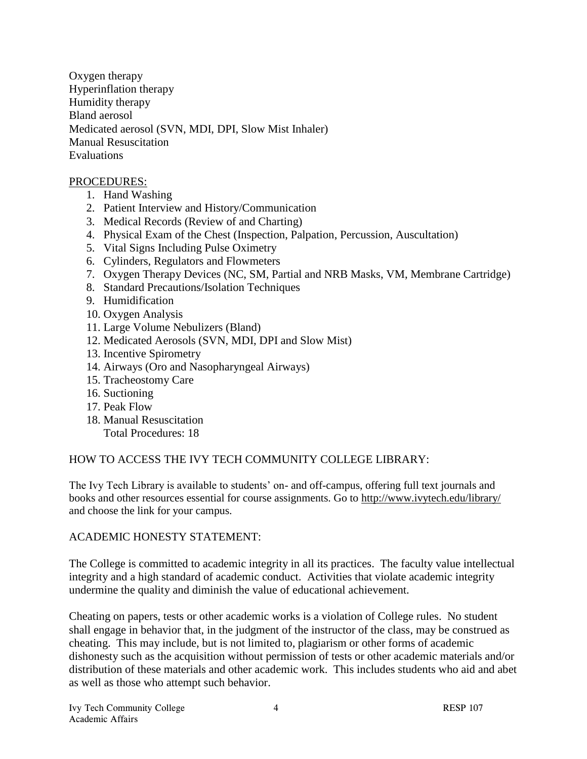Oxygen therapy Hyperinflation therapy Humidity therapy Bland aerosol Medicated aerosol (SVN, MDI, DPI, Slow Mist Inhaler) Manual Resuscitation Evaluations

#### PROCEDURES:

- 1. Hand Washing
- 2. Patient Interview and History/Communication
- 3. Medical Records (Review of and Charting)
- 4. Physical Exam of the Chest (Inspection, Palpation, Percussion, Auscultation)
- 5. Vital Signs Including Pulse Oximetry
- 6. Cylinders, Regulators and Flowmeters
- 7. Oxygen Therapy Devices (NC, SM, Partial and NRB Masks, VM, Membrane Cartridge)
- 8. Standard Precautions/Isolation Techniques
- 9. Humidification
- 10. Oxygen Analysis
- 11. Large Volume Nebulizers (Bland)
- 12. Medicated Aerosols (SVN, MDI, DPI and Slow Mist)
- 13. Incentive Spirometry
- 14. Airways (Oro and Nasopharyngeal Airways)
- 15. Tracheostomy Care
- 16. Suctioning
- 17. Peak Flow
- 18. Manual Resuscitation

Total Procedures: 18

## HOW TO ACCESS THE IVY TECH COMMUNITY COLLEGE LIBRARY:

The Ivy Tech Library is available to students' on- and off-campus, offering full text journals and books and other resources essential for course assignments. Go to<http://www.ivytech.edu/library/> and choose the link for your campus.

#### ACADEMIC HONESTY STATEMENT:

The College is committed to academic integrity in all its practices. The faculty value intellectual integrity and a high standard of academic conduct. Activities that violate academic integrity undermine the quality and diminish the value of educational achievement.

Cheating on papers, tests or other academic works is a violation of College rules. No student shall engage in behavior that, in the judgment of the instructor of the class, may be construed as cheating. This may include, but is not limited to, plagiarism or other forms of academic dishonesty such as the acquisition without permission of tests or other academic materials and/or distribution of these materials and other academic work. This includes students who aid and abet as well as those who attempt such behavior.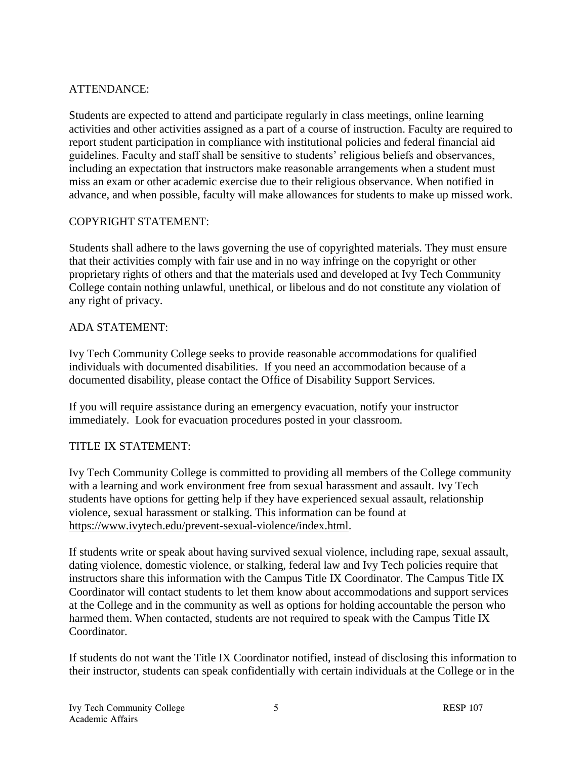## ATTENDANCE:

Students are expected to attend and participate regularly in class meetings, online learning activities and other activities assigned as a part of a course of instruction. Faculty are required to report student participation in compliance with institutional policies and federal financial aid guidelines. Faculty and staff shall be sensitive to students' religious beliefs and observances, including an expectation that instructors make reasonable arrangements when a student must miss an exam or other academic exercise due to their religious observance. When notified in advance, and when possible, faculty will make allowances for students to make up missed work.

### COPYRIGHT STATEMENT:

Students shall adhere to the laws governing the use of copyrighted materials. They must ensure that their activities comply with fair use and in no way infringe on the copyright or other proprietary rights of others and that the materials used and developed at Ivy Tech Community College contain nothing unlawful, unethical, or libelous and do not constitute any violation of any right of privacy.

### ADA STATEMENT:

Ivy Tech Community College seeks to provide reasonable accommodations for qualified individuals with documented disabilities. If you need an accommodation because of a documented disability, please contact the Office of Disability Support Services.

If you will require assistance during an emergency evacuation, notify your instructor immediately. Look for evacuation procedures posted in your classroom.

## TITLE IX STATEMENT:

Ivy Tech Community College is committed to providing all members of the College community with a learning and work environment free from sexual harassment and assault. Ivy Tech students have options for getting help if they have experienced sexual assault, relationship violence, sexual harassment or stalking. This information can be found at [https://www.ivytech.edu/prevent-sexual-violence/index.html.](https://www.ivytech.edu/prevent-sexual-violence/index.html)

If students write or speak about having survived sexual violence, including rape, sexual assault, dating violence, domestic violence, or stalking, federal law and Ivy Tech policies require that instructors share this information with the Campus Title IX Coordinator. The Campus Title IX Coordinator will contact students to let them know about accommodations and support services at the College and in the community as well as options for holding accountable the person who harmed them. When contacted, students are not required to speak with the Campus Title IX Coordinator.

If students do not want the Title IX Coordinator notified, instead of disclosing this information to their instructor, students can speak confidentially with certain individuals at the College or in the